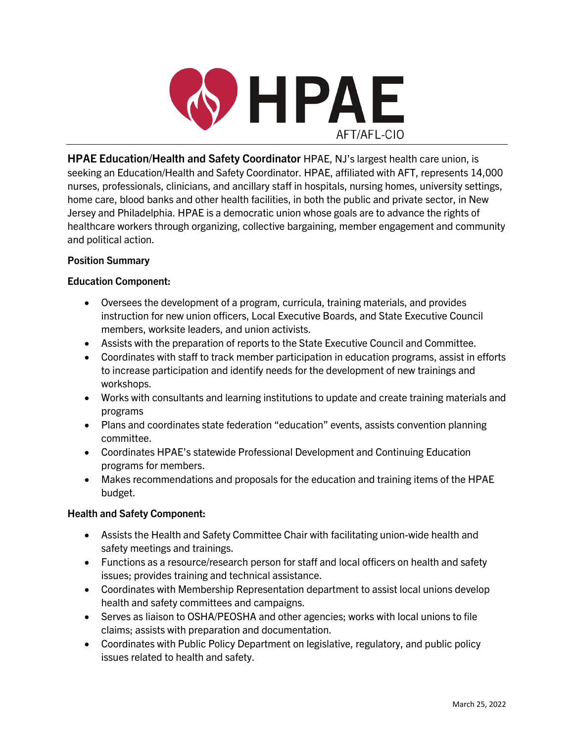

**HPAE Education/Health and Safety Coordinator** HPAE, NJ's largest health care union, is seeking an Education/Health and Safety Coordinator. HPAE, affiliated with AFT, represents 14,000 nurses, professionals, clinicians, and ancillary staff in hospitals, nursing homes, university settings, home care, blood banks and other health facilities, in both the public and private sector, in New Jersey and Philadelphia. HPAE is a democratic union whose goals are to advance the rights of healthcare workers through organizing, collective bargaining, member engagement and community and political action.

## **Position Summary**

## **Education Component:**

- Oversees the development of a program, curricula, training materials, and provides instruction for new union officers, Local Executive Boards, and State Executive Council members, worksite leaders, and union activists.
- Assists with the preparation of reports to the State Executive Council and Committee.
- Coordinates with staff to track member participation in education programs, assist in efforts to increase participation and identify needs for the development of new trainings and workshops.
- Works with consultants and learning institutions to update and create training materials and programs
- Plans and coordinates state federation "education" events, assists convention planning committee.
- Coordinates HPAE's statewide Professional Development and Continuing Education programs for members.
- Makes recommendations and proposals for the education and training items of the HPAE budget.

## **Health and Safety Component:**

- Assists the Health and Safety Committee Chair with facilitating union-wide health and safety meetings and trainings.
- Functions as a resource/research person for staff and local officers on health and safety issues; provides training and technical assistance.
- Coordinates with Membership Representation department to assist local unions develop health and safety committees and campaigns.
- Serves as liaison to OSHA/PEOSHA and other agencies; works with local unions to file claims; assists with preparation and documentation.
- Coordinates with Public Policy Department on legislative, regulatory, and public policy issues related to health and safety.